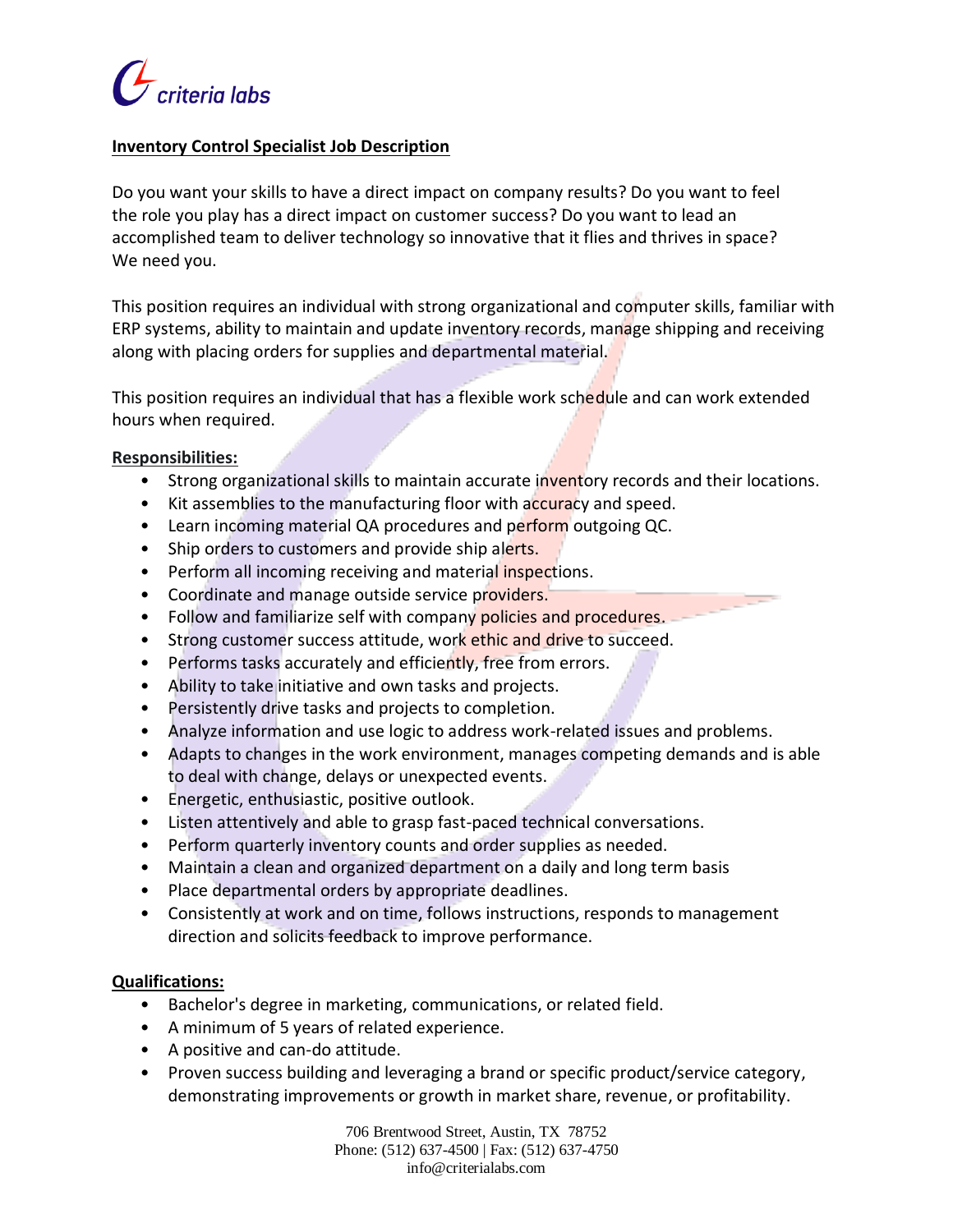

## **Inventory Control Specialist Job Description**

Do you want your skills to have a direct impact on company results? Do you want to feel the role you play has a direct impact on customer success? Do you want to lead an accomplished team to deliver technology so innovative that it flies and thrives in space? We need you.

This position requires an individual with strong organizational and computer skills, familiar with ERP systems, ability to maintain and update inventory records, manage shipping and receiving along with placing orders for supplies and departmental material.

This position requires an individual that has a flexible work schedule and can work extended hours when required.

### **Responsibilities:**

- Strong organizational skills to maintain accurate inventory records and their locations.
- Kit assemblies to the manufacturing floor with accuracy and speed.
- Learn incoming material QA procedures and perform outgoing QC.
- Ship orders to customers and provide ship alerts.
- Perform all incoming receiving and material inspections.
- Coordinate and manage outside service providers.
- Follow and familiarize self with company policies and procedures.
- Strong customer success attitude, work ethic and drive to succeed.
- Performs tasks accurately and efficiently, free from errors.
- Ability to take initiative and own tasks and projects.
- Persistently drive tasks and projects to completion.
- Analyze information and use logic to address work-related issues and problems.
- Adapts to changes in the work environment, manages competing demands and is able to deal with change, delays or unexpected events.
- Energetic, enthusiastic, positive outlook.
- Listen attentively and able to grasp fast-paced technical conversations.
- Perform quarterly inventory counts and order supplies as needed.
- Maintain a clean and organized department on a daily and long term basis
- Place departmental orders by appropriate deadlines.
- Consistently at work and on time, follows instructions, responds to management direction and solicits feedback to improve performance.

#### **Qualifications:**

- Bachelor's degree in marketing, communications, or related field.
- A minimum of 5 years of related experience.
- A positive and can-do attitude.
- Proven success building and leveraging a brand or specific product/service category, demonstrating improvements or growth in market share, revenue, or profitability.

706 Brentwood Street, Austin, TX 78752 Phone: (512) 637-4500 | Fax: (512) 637-4750 info@criterialabs.com